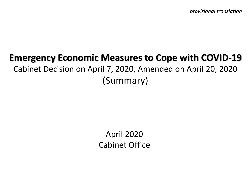*provisional translation*

# **Emergency Economic Measures to Cope with COVID-19** Cabinet Decision on April 7, 2020, Amended on April 20, 2020 (Summary)

April 2020 Cabinet Office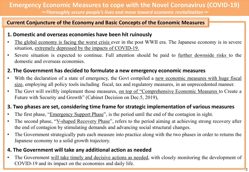## **Emergency Economic Measures to cope with the Novel Coronavirus (COVID-19)**

<sup>~</sup>*Thoroughly secure people's lives and move toward economic revitalization*<sup>~</sup>

#### **Current Conjuncture of the Economy and Basic Concepts of the Economic Measures**

#### **1. Domestic and overseas economies have been hit ruinously**

- The global economy is facing the worst crisis ever in the post WWII era. The Japanese economy is in severe situation, extremely depressed by the impacts of COVID-19.
- Severe situation is expected to continue. Full attention should be paid to further downside risks to the domestic and overseas economies.

### **2. The Government has decided to formulate a new emergency economic measures**

- With the declaration of a state of emergency, the Govt compiled a new economic measures with huge fiscal size, employing all policy tools including fiscal, tax and regulatory measures, in an unprecedented manner.
- The Govt will swiftly implement those measures, on top of "Comprehensive Economic Measures to Create a Future with Security and Growth" (Cabinet Decision on Dec.5, 2019),

#### **3. Two phases are set, considering time frame for strategic implementation of various measures**

- The first phase, "Emergency Support Phase", is the period until the end of the contagion in sight.
- The second phase, "V-shaped Recovery Phase", refers to the period aiming at achieving strong recovery after the end of contagion by stimulating demands and advancing social structural changes.
- The Government strategically puts each measure into practice along with the two phases in order to returns the Japanese economy to a solid growth trajectory.

## **4. The Government will take any additional action as needed**

• The Government will take timely and decisive actions as needed, with closely monitoring the development of COVID-19 and its impact on the economies and daily life.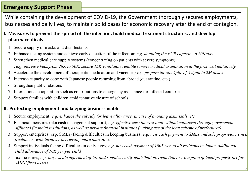## **Emergency Support Phase**

While containing the development of COVID-19, the Government thoroughly secures employments, businesses and daily lives, to maintain solid bases for economic recovery after the end of contagion.

### **I. Measures to prevent the spread of the infection, build medical treatment structures, and develop pharmaceuticals**

- 1. Secure supply of masks and disinfectants
- 2. Enhance testing system and achieve early detection of the infection; *e.g. doubling the PCR capacity to 20K/day*
- 3. Strengthen medical care supply systems (concentrating on patients with severe symptoms) ; *e.g. increase beds from 28K to 50K, secure 15K ventilators, enable remote medical examination at the first visit tentatively*
- 4. Accelerate the development of therapeutic medication and vaccines*; e.g. prepare the stockpile of Avigan to 2M doses*
- 5. Increase capacity to cope with Japanese people returning from abroad (quarantine, etc.)
- 6. Strengthen public relations
- 7. International cooperation such as contributions to emergency assistance for infected countries
- 8. Support families with children amid tentative closure of schools

## **II. Protecting employment and keeping business viable**

- 1. Secure employment; *e.g. enhance the subsidy for leave allowance in case of avoiding dismissals, etc.*
- 2. Financial measures (aka cash management support); *e.g. effective zero interest loan without collateral through government affiliated financial institutions, as well as private financial institutes (making use of the loan scheme of prefectures)*
- 3. Support enterprises (esp. SMEs) facing difficulties in keeping business; *e.g. new cash payment to SMEs and sole proprietors (incl. freelancer) with turnover decreasing more than 50%*.
- 4. Support individuals facing difficulties in daily lives*; e.g. new cash payment of 100K yen to all residents in Japan, additional child allowance of 10K yen per child*
- 5. Tax measures; *e.g. large scale deferment of tax and social security contribution, reduction or exemption of local property tax for SMEs' fixed assets*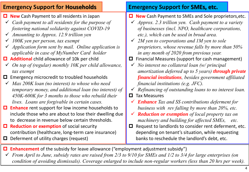| <b>Emergency Support for Households</b>                                                                                                                                                                                                                                                                                                                                                                                                                                                                                                                                                                                                                                                                                                                                                                                                                                                                                                                                                                                                                                                                                                                                              | <b>Emergency Support for SMEs, etc.</b>                                                                                                                                                                                                                                                                                                                                                                                                                                                                                                                                                                                                                                                                                                                                                                                                                                                                                                                                                                                                                                                                                                                                  |  |  |  |
|--------------------------------------------------------------------------------------------------------------------------------------------------------------------------------------------------------------------------------------------------------------------------------------------------------------------------------------------------------------------------------------------------------------------------------------------------------------------------------------------------------------------------------------------------------------------------------------------------------------------------------------------------------------------------------------------------------------------------------------------------------------------------------------------------------------------------------------------------------------------------------------------------------------------------------------------------------------------------------------------------------------------------------------------------------------------------------------------------------------------------------------------------------------------------------------|--------------------------------------------------------------------------------------------------------------------------------------------------------------------------------------------------------------------------------------------------------------------------------------------------------------------------------------------------------------------------------------------------------------------------------------------------------------------------------------------------------------------------------------------------------------------------------------------------------------------------------------------------------------------------------------------------------------------------------------------------------------------------------------------------------------------------------------------------------------------------------------------------------------------------------------------------------------------------------------------------------------------------------------------------------------------------------------------------------------------------------------------------------------------------|--|--|--|
| $\Box$ New Cash Payment to all residents in Japan<br>Cash payment to all residents for the purpose of<br>$\checkmark$<br>fostering national solidarity against COVID-19<br>$\checkmark$ Amounting to Approx. 12.9 trillion yen<br>100K yen per person, tax exempt<br>$\checkmark$<br>$\checkmark$ Application form sent by mail. Online application is<br>applicable in case of MyNumber Card holder<br>$\Box$ Additional child allowance of 10k per child<br>On top of (regular) monthly 10K per child allowance,<br>$\checkmark$<br>tax exempt<br>Emergency microcredit to troubled households<br>0<br>Max 200K loan (no interest) to whose who need<br>$\checkmark$<br>temporary money, and additional loan (no interest) of<br>450K-600K for 3 months to those who rebuild their<br>lives. Loans are forgivable in certain cases.<br><b>Enhance</b> rent support for low income households to<br>0<br>include those who are about to lose their dwelling due<br>to decrease in revenue below certain thresholds.<br><b>Reduction or exemption of social security</b><br>0<br>contribution (healthcare, long-term care insurance)<br>Deferment of utility charges (request)<br>0. | <b>New</b> Cash Payment to SMEs and Sole proprietors, etc.<br>О.<br>Approx. 2.3 trillion yen. Cash payment to a variety<br>of businesses (incl. NPO, healthcare corporations,<br>etc.), which can be used in broad area.<br>2M yen to corporations and 1M yen to sole<br>proprietors, whose revenue falls by more than 50%<br>in any month of 2020 from previous year.<br>Financial Measures (support for cash management)<br>0<br>No interest no collateral loan (w/ principal<br>$\checkmark$<br>amortization deferred up to 5 years) through private<br><b>financial institutions</b> , besides government affiliated<br>financial institutions (e.g. $JFC$ ).<br>Refinancing of outstanding loans to no interest loan.<br>$\checkmark$<br><b>Tax Measures</b><br>0<br><b>Enhance</b> Tax and SS contributions deferment for<br>business with rev falling by more than 20%, etc.<br><b>Reduction or exemption</b> of local property tax on<br>machinery and building for affected SMEs, etc.<br>Request to landlords to consider rent deferment, etc.<br>$\Box$<br>depending on tenant's situation, while requesting<br>banks to reschedule the landlord's debt, etc. |  |  |  |
| $\Box$ Enhancement of the subsidy for leave allowance ("employment adjustment subsidy")<br>$\checkmark$ From April to June, subsidy rates are raised from 2/3 to 9/10 for SMEs and 1/2 to 3/4 for large enterprises (on                                                                                                                                                                                                                                                                                                                                                                                                                                                                                                                                                                                                                                                                                                                                                                                                                                                                                                                                                              |                                                                                                                                                                                                                                                                                                                                                                                                                                                                                                                                                                                                                                                                                                                                                                                                                                                                                                                                                                                                                                                                                                                                                                          |  |  |  |

*condition of avoiding dismissals). Coverage enlarged to include non-regular workers (less than 20 hrs per week).*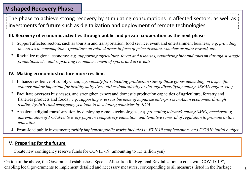## **V-shaped Recovery Phase**

The phase to achieve strong recovery by stimulating consumptions in affected sectors, as well as investments for future such as digitalization and deployment of remote technologies

#### **III. Recovery of economic activities through public and private cooperation as the next phase**

- 1. Support affected sectors, such as tourism and transportation, food service, event and entertainment business; *e.g. providing incentives to consumption expenditure on related areas in form of price discount, voucher or point reward, etc.*
- 2. Revitalize regional economy; *e.g. supporting agriculture, forest and fisheries, revitalizing inbound tourism through strategic promotions, etc. and supporting recommencement of sports and art events*

#### **IV. Making economic structure more resilient**

- 1. Enhance resilience of supply chain; *e.g. subsidy for relocating production sites of those goods depending on a specific country and/or important for healthy daily lives (either domestically or through diversifying among ASEAN region, etc.)*
- 2. Facilitate overseas businesses, and strengthen export and domestic production capacities of agriculture, forestry and fisheries products and foods ; *e.g. supporting overseas business of Japanese enterprises in Asian economies through lending by JBIC and emergency yen loan to developing countries by JICA*.
- 3. Accelerate digital transformation by deploying remote technologies; *e.g. promoting telework among SMEs, accelerating dissemination of PC/tablet to every pupil in compulsory education, and tentative removal of regulation to promote online education.*
- 4. Front-load public investment; *swiftly implement public works included in FY2019 supplementary and FY2020 initial budget*

#### **V. Preparing for the future**

Create new contingency reserve funds for COVID-19 (amounting to 1.5 trillion yen)

On top of the above, the Government establishes "Special Allocation for Regional Revitalization to cope with COVID-19", enabling local governments to implement detailed and necessary measures, corresponding to all measures listed in the Package.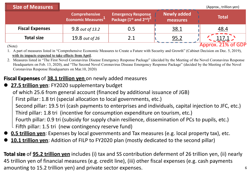| <b>Size of Measures</b> |                                                        |                                                                                          |                                | (Approx., trillion yen) |
|-------------------------|--------------------------------------------------------|------------------------------------------------------------------------------------------|--------------------------------|-------------------------|
|                         | <b>Comprehensive</b><br>Economic Measures <sup>1</sup> | <b>Emergency Response</b><br>Package (1 <sup>st</sup> and 2 <sup>nd</sup> ) <sup>2</sup> | <b>Newly added</b><br>measures | <b>Total</b>            |
| <b>Fiscal Expenses</b>  | 9.8 out of 13.2                                        | 0.5                                                                                      | 38.1                           | 48.4                    |
| <b>Total size</b>       | 19.8 out of 26                                         | 2.1                                                                                      | 95.2                           | $\frac{117.1}{2}$       |
| (Note)                  |                                                        |                                                                                          |                                | Approx. 21% of GDP      |

1. A part of measures listed in "Comprehensive Economic Measures to Create a Future with Security and Growth" (Cabinet Decision on Dec. 5, 2019), with its impacts expected to take effects from April.

2. Measures listed in "The First Novel Coronavirus Disease Emergency Response Package" (decided by the Meeting of the Novel Coronavirus Response Headquarters on Feb. 13, 2020), and "The Second Novel Coronavirus Disease Emergency Response Package" (decided by the Meeting of the Novel Coronavirus Response Headquarters on Mar.10, 2020)

## **Fiscal Expenses** of **38.1 trillion yen** on newly added measures

**27.5 trillion yen**: FY2020 supplementary budget

of which 25.6 from general account (financed by additional issuance of JGB)

First pillar: 1.8 tri (special allocation to local governments, etc.)

Second pillar: 19.5 tri (cash payments to enterprises and individuals, capital injection to JFC, etc.) Third pillar: 1.8 tri (incentive for consumption expenditure on tourism, etc.)

Fourth pillar: 0.9 tri (subsidy for supply chain resilience, dissemination of PCs to pupils, etc.) Fifth pillar: 1.5 tri (new contingency reserve fund)

- **0.5 trillion yen**: Expenses by local governments and Tax measures (e.g. local property tax), etc.
- **10.1 trillion yen**: Addition of FILP to FY2020 plan (mostly dedicated to the second pillar)

**Total size** of **95.2 trillion yen** includes (i) tax and SS contribution deferment of 26 trillion yen, (ii) nearly 45 trillion yen of financial measures (e.g. credit line), (iii) other fiscal expenses (e.g. cash payments amounting to 15.2 trillion yen) and private sector expenses.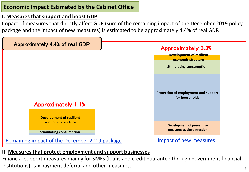## **Economic Impact Estimated by the Cabinet Office**

## **I. Measures that support and boost GDP**

Impact of measures that directly affect GDP (sum of the remaining impact of the December 2019 policy package and the impact of new measures) is estimated to be approximately 4.4% of real GDP.



## **II. Measures that protect employment and support businesses**

Financial support measures mainly for SMEs (loans and credit guarantee through government financial institutions), tax payment deferral and other measures.